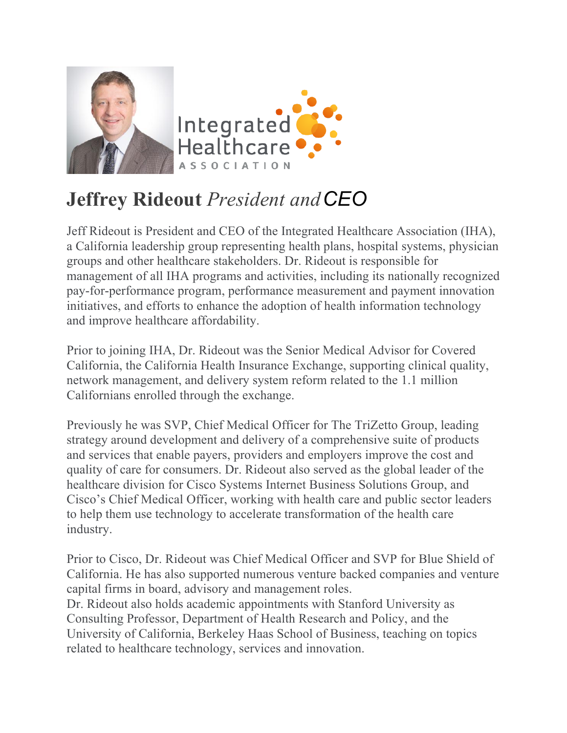

## **Jeffrey Rideout** *President andCEO*

Jeff Rideout is President and CEO of the Integrated Healthcare Association (IHA), a California leadership group representing health plans, hospital systems, physician groups and other healthcare stakeholders. Dr. Rideout is responsible for management of all IHA programs and activities, including its nationally recognized pay-for-performance program, performance measurement and payment innovation initiatives, and efforts to enhance the adoption of health information technology and improve healthcare affordability.

Prior to joining IHA, Dr. Rideout was the Senior Medical Advisor for Covered California, the California Health Insurance Exchange, supporting clinical quality, network management, and delivery system reform related to the 1.1 million Californians enrolled through the exchange.

Previously he was SVP, Chief Medical Officer for The TriZetto Group, leading strategy around development and delivery of a comprehensive suite of products and services that enable payers, providers and employers improve the cost and quality of care for consumers. Dr. Rideout also served as the global leader of the healthcare division for Cisco Systems Internet Business Solutions Group, and Cisco's Chief Medical Officer, working with health care and public sector leaders to help them use technology to accelerate transformation of the health care industry.

Prior to Cisco, Dr. Rideout was Chief Medical Officer and SVP for Blue Shield of California. He has also supported numerous venture backed companies and venture capital firms in board, advisory and management roles.

Dr. Rideout also holds academic appointments with Stanford University as Consulting Professor, Department of Health Research and Policy, and the University of California, Berkeley Haas School of Business, teaching on topics related to healthcare technology, services and innovation.